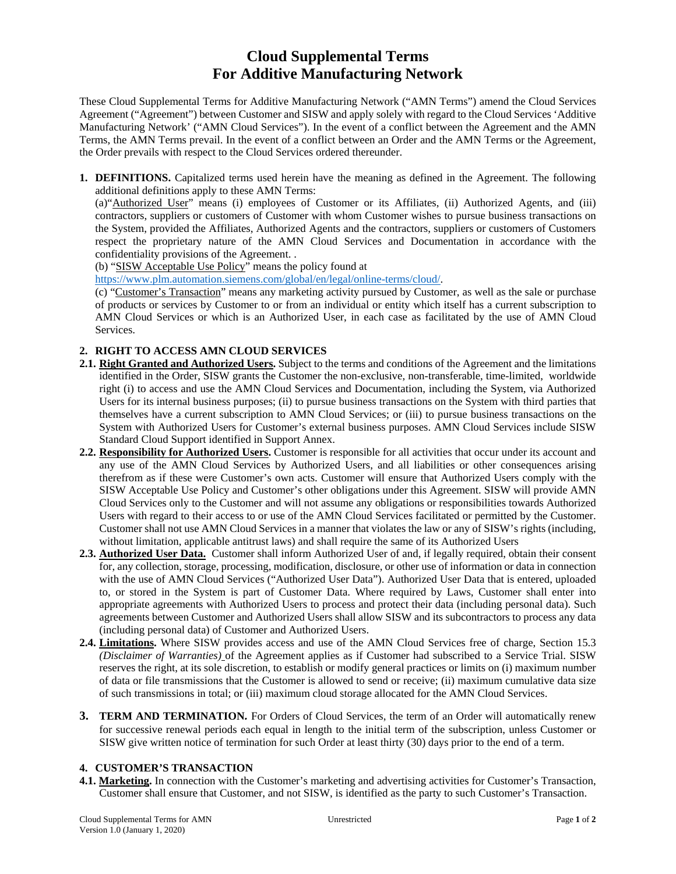# **Cloud Supplemental Terms For Additive Manufacturing Network**

These Cloud Supplemental Terms for Additive Manufacturing Network ("AMN Terms") amend the Cloud Services Agreement ("Agreement") between Customer and SISW and apply solely with regard to the Cloud Services 'Additive Manufacturing Network' ("AMN Cloud Services"). In the event of a conflict between the Agreement and the AMN Terms, the AMN Terms prevail. In the event of a conflict between an Order and the AMN Terms or the Agreement, the Order prevails with respect to the Cloud Services ordered thereunder.

**1. DEFINITIONS.** Capitalized terms used herein have the meaning as defined in the Agreement. The following additional definitions apply to these AMN Terms:

(a)"Authorized User" means (i) employees of Customer or its Affiliates, (ii) Authorized Agents, and (iii) contractors, suppliers or customers of Customer with whom Customer wishes to pursue business transactions on the System, provided the Affiliates, Authorized Agents and the contractors, suppliers or customers of Customers respect the proprietary nature of the AMN Cloud Services and Documentation in accordance with the confidentiality provisions of the Agreement. .

(b) "SISW Acceptable Use Policy" means the policy found at

https://www.plm.automation.siemens.com/global/en/legal/online-terms/cloud/.

(c) "Customer's Transaction" means any marketing activity pursued by Customer, as well as the sale or purchase of products or services by Customer to or from an individual or entity which itself has a current subscription to AMN Cloud Services or which is an Authorized User, in each case as facilitated by the use of AMN Cloud Services.

## **2. RIGHT TO ACCESS AMN CLOUD SERVICES**

- **2.1. Right Granted and Authorized Users.** Subject to the terms and conditions of the Agreement and the limitations identified in the Order, SISW grants the Customer the non-exclusive, non-transferable, time-limited, worldwide right (i) to access and use the AMN Cloud Services and Documentation, including the System, via Authorized Users for its internal business purposes; (ii) to pursue business transactions on the System with third parties that themselves have a current subscription to AMN Cloud Services; or (iii) to pursue business transactions on the System with Authorized Users for Customer's external business purposes. AMN Cloud Services include SISW Standard Cloud Support identified in Support Annex.
- **2.2. Responsibility for Authorized Users.** Customer is responsible for all activities that occur under its account and any use of the AMN Cloud Services by Authorized Users, and all liabilities or other consequences arising therefrom as if these were Customer's own acts. Customer will ensure that Authorized Users comply with the SISW Acceptable Use Policy and Customer's other obligations under this Agreement. SISW will provide AMN Cloud Services only to the Customer and will not assume any obligations or responsibilities towards Authorized Users with regard to their access to or use of the AMN Cloud Services facilitated or permitted by the Customer. Customer shall not use AMN Cloud Services in a manner that violates the law or any of SISW's rights (including, without limitation, applicable antitrust laws) and shall require the same of its Authorized Users
- **2.3. Authorized User Data.** Customer shall inform Authorized User of and, if legally required, obtain their consent for, any collection, storage, processing, modification, disclosure, or other use of information or data in connection with the use of AMN Cloud Services ("Authorized User Data"). Authorized User Data that is entered, uploaded to, or stored in the System is part of Customer Data. Where required by Laws, Customer shall enter into appropriate agreements with Authorized Users to process and protect their data (including personal data). Such agreements between Customer and Authorized Users shall allow SISW and its subcontractors to process any data (including personal data) of Customer and Authorized Users.
- **2.4. Limitations.** Where SISW provides access and use of the AMN Cloud Services free of charge, Section 15.3 *(Disclaimer of Warranties)* of the Agreement applies as if Customer had subscribed to a Service Trial. SISW reserves the right, at its sole discretion, to establish or modify general practices or limits on (i) maximum number of data or file transmissions that the Customer is allowed to send or receive; (ii) maximum cumulative data size of such transmissions in total; or (iii) maximum cloud storage allocated for the AMN Cloud Services.
- **3. TERM AND TERMINATION***.* For Orders of Cloud Services, the term of an Order will automatically renew for successive renewal periods each equal in length to the initial term of the subscription, unless Customer or SISW give written notice of termination for such Order at least thirty (30) days prior to the end of a term.

# **4. CUSTOMER'S TRANSACTION**

**4.1. Marketing.** In connection with the Customer's marketing and advertising activities for Customer's Transaction, Customer shall ensure that Customer, and not SISW, is identified as the party to such Customer's Transaction.